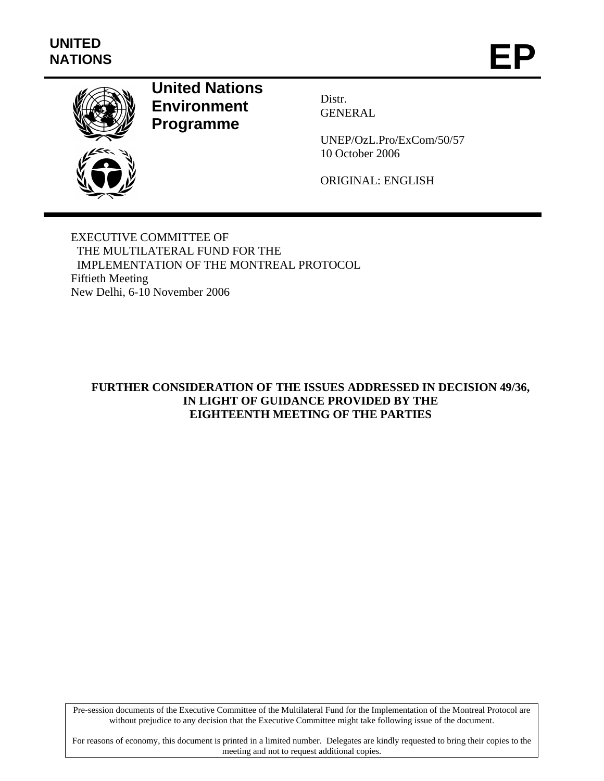

## **United Nations Environment Programme**

Distr. GENERAL

UNEP/OzL.Pro/ExCom/50/57 10 October 2006

ORIGINAL: ENGLISH

EXECUTIVE COMMITTEE OF THE MULTILATERAL FUND FOR THE IMPLEMENTATION OF THE MONTREAL PROTOCOL Fiftieth Meeting New Delhi, 6-10 November 2006

## **FURTHER CONSIDERATION OF THE ISSUES ADDRESSED IN DECISION 49/36, IN LIGHT OF GUIDANCE PROVIDED BY THE EIGHTEENTH MEETING OF THE PARTIES**

Pre-session documents of the Executive Committee of the Multilateral Fund for the Implementation of the Montreal Protocol are without prejudice to any decision that the Executive Committee might take following issue of the document.

For reasons of economy, this document is printed in a limited number. Delegates are kindly requested to bring their copies to the meeting and not to request additional copies.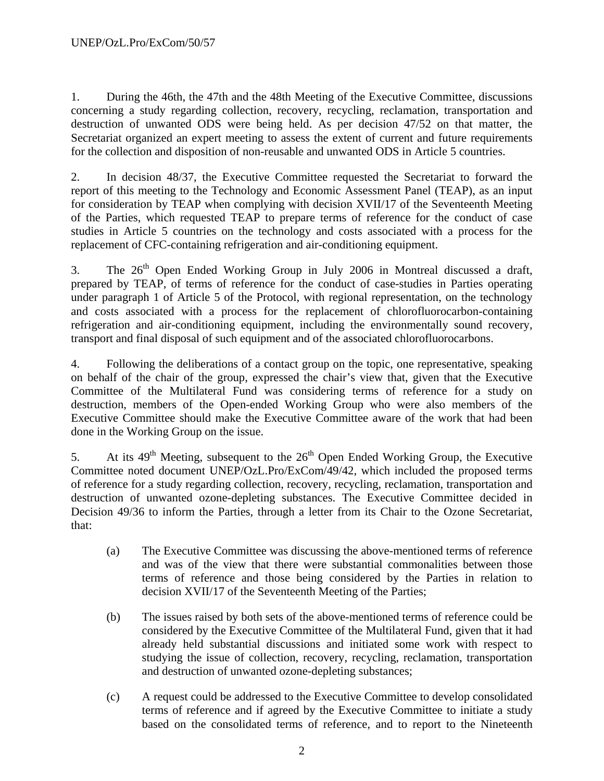1. During the 46th, the 47th and the 48th Meeting of the Executive Committee, discussions concerning a study regarding collection, recovery, recycling, reclamation, transportation and destruction of unwanted ODS were being held. As per decision 47/52 on that matter, the Secretariat organized an expert meeting to assess the extent of current and future requirements for the collection and disposition of non-reusable and unwanted ODS in Article 5 countries.

2. In decision 48/37, the Executive Committee requested the Secretariat to forward the report of this meeting to the Technology and Economic Assessment Panel (TEAP), as an input for consideration by TEAP when complying with decision XVII/17 of the Seventeenth Meeting of the Parties, which requested TEAP to prepare terms of reference for the conduct of case studies in Article 5 countries on the technology and costs associated with a process for the replacement of CFC-containing refrigeration and air-conditioning equipment.

3. The 26<sup>th</sup> Open Ended Working Group in July 2006 in Montreal discussed a draft, prepared by TEAP, of terms of reference for the conduct of case-studies in Parties operating under paragraph 1 of Article 5 of the Protocol, with regional representation, on the technology and costs associated with a process for the replacement of chlorofluorocarbon-containing refrigeration and air-conditioning equipment, including the environmentally sound recovery, transport and final disposal of such equipment and of the associated chlorofluorocarbons.

4. Following the deliberations of a contact group on the topic, one representative, speaking on behalf of the chair of the group, expressed the chair's view that, given that the Executive Committee of the Multilateral Fund was considering terms of reference for a study on destruction, members of the Open-ended Working Group who were also members of the Executive Committee should make the Executive Committee aware of the work that had been done in the Working Group on the issue.

5. At its  $49<sup>th</sup>$  Meeting, subsequent to the  $26<sup>th</sup>$  Open Ended Working Group, the Executive Committee noted document UNEP/OzL.Pro/ExCom/49/42, which included the proposed terms of reference for a study regarding collection, recovery, recycling, reclamation, transportation and destruction of unwanted ozone-depleting substances. The Executive Committee decided in Decision 49/36 to inform the Parties, through a letter from its Chair to the Ozone Secretariat, that:

- (a) The Executive Committee was discussing the above-mentioned terms of reference and was of the view that there were substantial commonalities between those terms of reference and those being considered by the Parties in relation to decision XVII/17 of the Seventeenth Meeting of the Parties;
- (b) The issues raised by both sets of the above-mentioned terms of reference could be considered by the Executive Committee of the Multilateral Fund, given that it had already held substantial discussions and initiated some work with respect to studying the issue of collection, recovery, recycling, reclamation, transportation and destruction of unwanted ozone-depleting substances;
- (c) A request could be addressed to the Executive Committee to develop consolidated terms of reference and if agreed by the Executive Committee to initiate a study based on the consolidated terms of reference, and to report to the Nineteenth